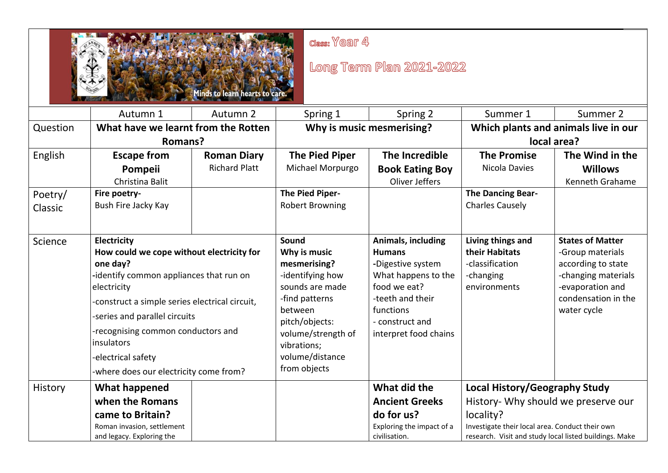

class: Year 4

## Long Term Plan 2021-2022

|                               | Autumn 1                                                                                                                                                                                                                                                                                                                              | Autumn 2                                   | Spring 1                                                                                                                                                                                            | Spring 2                                                                                                                                                                     | Summer 1                                                                                                                                                                                       | Summer 2                                                                                                                                           |
|-------------------------------|---------------------------------------------------------------------------------------------------------------------------------------------------------------------------------------------------------------------------------------------------------------------------------------------------------------------------------------|--------------------------------------------|-----------------------------------------------------------------------------------------------------------------------------------------------------------------------------------------------------|------------------------------------------------------------------------------------------------------------------------------------------------------------------------------|------------------------------------------------------------------------------------------------------------------------------------------------------------------------------------------------|----------------------------------------------------------------------------------------------------------------------------------------------------|
| Question                      | What have we learnt from the Rotten                                                                                                                                                                                                                                                                                                   |                                            | Why is music mesmerising?                                                                                                                                                                           |                                                                                                                                                                              | Which plants and animals live in our                                                                                                                                                           |                                                                                                                                                    |
|                               | <b>Romans?</b>                                                                                                                                                                                                                                                                                                                        |                                            |                                                                                                                                                                                                     |                                                                                                                                                                              | local area?                                                                                                                                                                                    |                                                                                                                                                    |
| English<br>Poetry/<br>Classic | <b>Escape from</b><br>Pompeii<br>Christina Balit<br>Fire poetry-<br>Bush Fire Jacky Kay                                                                                                                                                                                                                                               | <b>Roman Diary</b><br><b>Richard Platt</b> | <b>The Pied Piper</b><br>Michael Morpurgo<br>The Pied Piper-<br><b>Robert Browning</b>                                                                                                              | The Incredible<br><b>Book Eating Boy</b><br>Oliver Jeffers                                                                                                                   | <b>The Promise</b><br>Nicola Davies<br>The Dancing Bear-<br><b>Charles Causely</b>                                                                                                             | The Wind in the<br><b>Willows</b><br>Kenneth Grahame                                                                                               |
| Science                       | Electricity<br>How could we cope without electricity for<br>one day?<br>-identify common appliances that run on<br>electricity<br>-construct a simple series electrical circuit,<br>-series and parallel circuits<br>-recognising common conductors and<br>insulators<br>-electrical safety<br>-where does our electricity come from? |                                            | Sound<br>Why is music<br>mesmerising?<br>-identifying how<br>sounds are made<br>-find patterns<br>between<br>pitch/objects:<br>volume/strength of<br>vibrations;<br>volume/distance<br>from objects | Animals, including<br><b>Humans</b><br>-Digestive system<br>What happens to the<br>food we eat?<br>-teeth and their<br>functions<br>- construct and<br>interpret food chains | Living things and<br>their Habitats<br>-classification<br>-changing<br>environments                                                                                                            | <b>States of Matter</b><br>-Group materials<br>according to state<br>-changing materials<br>-evaporation and<br>condensation in the<br>water cycle |
| History                       | What happened<br>when the Romans<br>came to Britain?<br>Roman invasion, settlement<br>and legacy. Exploring the                                                                                                                                                                                                                       |                                            |                                                                                                                                                                                                     | What did the<br><b>Ancient Greeks</b><br>do for us?<br>Exploring the impact of a<br>civilisation.                                                                            | Local History/Geography Study<br>History- Why should we preserve our<br>locality?<br>Investigate their local area. Conduct their own<br>research. Visit and study local listed buildings. Make |                                                                                                                                                    |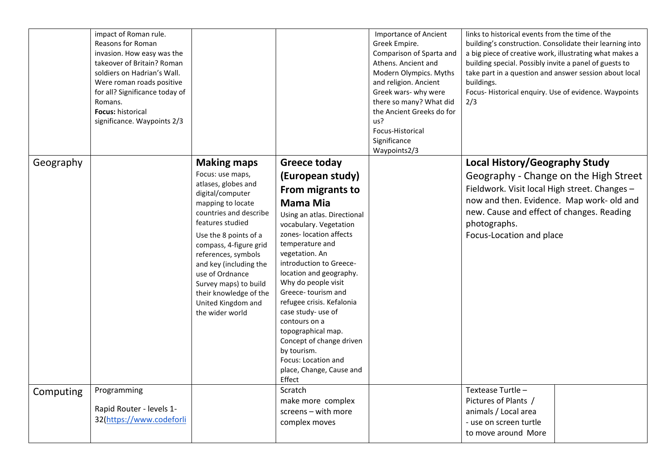|           | impact of Roman rule.<br>Reasons for Roman<br>invasion. How easy was the<br>takeover of Britain? Roman<br>soldiers on Hadrian's Wall.<br>Were roman roads positive<br>for all? Significance today of<br>Romans.<br>Focus: historical<br>significance. Waypoints 2/3 |                                                                                                                                                                                                                                                                                                                                                   |                                                                                                                                                                                                                                                                                                                                                                                                                                                                            | <b>Importance of Ancient</b><br>Greek Empire.<br>Comparison of Sparta and<br>Athens. Ancient and<br>Modern Olympics. Myths<br>and religion. Ancient<br>Greek wars- why were<br>there so many? What did<br>the Ancient Greeks do for<br>us?<br>Focus-Historical<br>Significance<br>Waypoints2/3 | links to historical events from the time of the<br>building's construction. Consolidate their learning into<br>a big piece of creative work, illustrating what makes a<br>building special. Possibly invite a panel of guests to<br>take part in a question and answer session about local<br>buildings.<br>Focus-Historical enquiry. Use of evidence. Waypoints<br>2/3 |  |
|-----------|---------------------------------------------------------------------------------------------------------------------------------------------------------------------------------------------------------------------------------------------------------------------|---------------------------------------------------------------------------------------------------------------------------------------------------------------------------------------------------------------------------------------------------------------------------------------------------------------------------------------------------|----------------------------------------------------------------------------------------------------------------------------------------------------------------------------------------------------------------------------------------------------------------------------------------------------------------------------------------------------------------------------------------------------------------------------------------------------------------------------|------------------------------------------------------------------------------------------------------------------------------------------------------------------------------------------------------------------------------------------------------------------------------------------------|-------------------------------------------------------------------------------------------------------------------------------------------------------------------------------------------------------------------------------------------------------------------------------------------------------------------------------------------------------------------------|--|
| Geography |                                                                                                                                                                                                                                                                     | <b>Making maps</b>                                                                                                                                                                                                                                                                                                                                | <b>Greece today</b>                                                                                                                                                                                                                                                                                                                                                                                                                                                        |                                                                                                                                                                                                                                                                                                |                                                                                                                                                                                                                                                                                                                                                                         |  |
|           |                                                                                                                                                                                                                                                                     | Focus: use maps,<br>atlases, globes and<br>digital/computer<br>mapping to locate<br>countries and describe<br>features studied<br>Use the 8 points of a<br>compass, 4-figure grid<br>references, symbols<br>and key (including the<br>use of Ordnance<br>Survey maps) to build<br>their knowledge of the<br>United Kingdom and<br>the wider world | (European study)<br>From migrants to<br><b>Mama Mia</b><br>Using an atlas. Directional<br>vocabulary. Vegetation<br>zones-location affects<br>temperature and<br>vegetation. An<br>introduction to Greece-<br>location and geography.<br>Why do people visit<br>Greece-tourism and<br>refugee crisis. Kefalonia<br>case study- use of<br>contours on a<br>topographical map.<br>Concept of change driven<br>by tourism.<br>Focus: Location and<br>place, Change, Cause and |                                                                                                                                                                                                                                                                                                | <b>Local History/Geography Study</b><br>Geography - Change on the High Street<br>Fieldwork. Visit local High street. Changes -<br>now and then. Evidence. Map work- old and<br>new. Cause and effect of changes. Reading<br>photographs.<br>Focus-Location and place                                                                                                    |  |
| Computing | Programming                                                                                                                                                                                                                                                         |                                                                                                                                                                                                                                                                                                                                                   | Effect<br>Scratch                                                                                                                                                                                                                                                                                                                                                                                                                                                          |                                                                                                                                                                                                                                                                                                | Textease Turtle -                                                                                                                                                                                                                                                                                                                                                       |  |
|           | Rapid Router - levels 1-<br>32(https://www.codeforli                                                                                                                                                                                                                |                                                                                                                                                                                                                                                                                                                                                   | make more complex<br>screens - with more<br>complex moves                                                                                                                                                                                                                                                                                                                                                                                                                  |                                                                                                                                                                                                                                                                                                | Pictures of Plants /<br>animals / Local area<br>- use on screen turtle<br>to move around More                                                                                                                                                                                                                                                                           |  |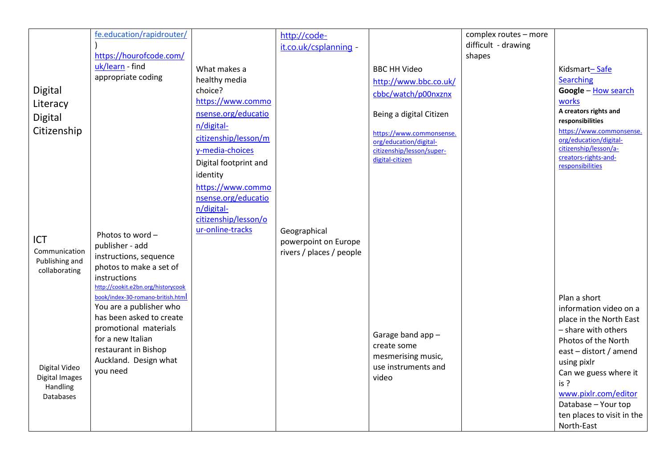|                                                                        | fe.education/rapidrouter/<br>https://hourofcode.com/                                                                                                                                                                                       |                                                                                                                                                                                                         | http://code-<br>it.co.uk/csplanning -                            |                                                                                                                                                                                                      | complex routes - more<br>difficult - drawing<br>shapes |                                                                                                                                                                                                                                           |
|------------------------------------------------------------------------|--------------------------------------------------------------------------------------------------------------------------------------------------------------------------------------------------------------------------------------------|---------------------------------------------------------------------------------------------------------------------------------------------------------------------------------------------------------|------------------------------------------------------------------|------------------------------------------------------------------------------------------------------------------------------------------------------------------------------------------------------|--------------------------------------------------------|-------------------------------------------------------------------------------------------------------------------------------------------------------------------------------------------------------------------------------------------|
| Digital<br>Literacy<br>Digital<br>Citizenship                          | uk/learn - find<br>appropriate coding                                                                                                                                                                                                      | What makes a<br>healthy media<br>choice?<br>https://www.commo<br>nsense.org/educatio<br>n/digital-<br>citizenship/lesson/m<br>y-media-choices<br>Digital footprint and<br>identity<br>https://www.commo |                                                                  | <b>BBC HH Video</b><br>http://www.bbc.co.uk/<br>cbbc/watch/p00nxznx<br>Being a digital Citizen<br>https://www.commonsense.<br>org/education/digital-<br>citizenship/lesson/super-<br>digital-citizen |                                                        | Kidsmart-Safe<br><b>Searching</b><br>Google - How search<br>works<br>A creators rights and<br>responsibilities<br>https://www.commonsense.<br>org/education/digital-<br>citizenship/lesson/a-<br>creators-rights-and-<br>responsibilities |
| <b>ICT</b><br>Communication<br>Publishing and<br>collaborating         | Photos to word -<br>publisher - add<br>instructions, sequence<br>photos to make a set of<br>instructions<br>http://cookit.e2bn.org/historycook<br>book/index-30-romano-british.html<br>You are a publisher who<br>has been asked to create | nsense.org/educatio<br>n/digital-<br>citizenship/lesson/o<br>ur-online-tracks                                                                                                                           | Geographical<br>powerpoint on Europe<br>rivers / places / people |                                                                                                                                                                                                      |                                                        | Plan a short<br>information video on a<br>place in the North East                                                                                                                                                                         |
| Digital Video<br><b>Digital Images</b><br>Handling<br><b>Databases</b> | promotional materials<br>for a new Italian<br>restaurant in Bishop<br>Auckland. Design what<br>you need                                                                                                                                    |                                                                                                                                                                                                         |                                                                  | Garage band app -<br>create some<br>mesmerising music,<br>use instruments and<br>video                                                                                                               |                                                        | - share with others<br>Photos of the North<br>east - distort / amend<br>using pixlr<br>Can we guess where it<br>is?<br>www.pixlr.com/editor<br>Database - Your top<br>ten places to visit in the<br>North-East                            |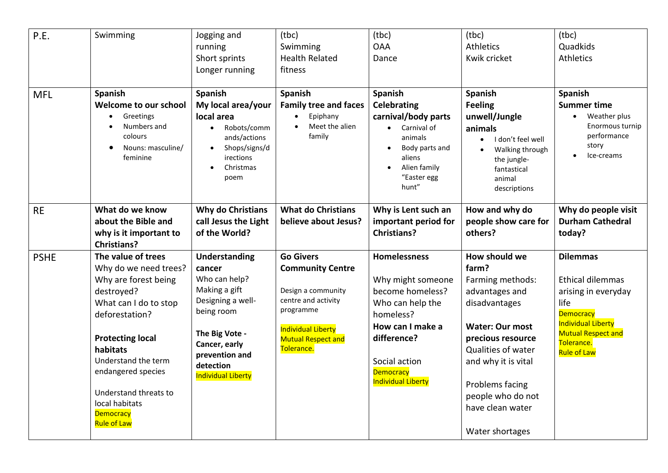| P.E.        | Swimming                                                                                                                                                                                                                                                                                              | Jogging and<br>running<br>Short sprints<br>Longer running                                                                                                                                          | (tbc)<br>Swimming<br><b>Health Related</b><br>fitness                                                                                                                         | (tbc)<br><b>OAA</b><br>Dance                                                                                                                                                                | (tbc)<br><b>Athletics</b><br>Kwik cricket                                                                                                                                                                                                                | (tbc)<br>Quadkids<br><b>Athletics</b>                                                                                                                                                       |
|-------------|-------------------------------------------------------------------------------------------------------------------------------------------------------------------------------------------------------------------------------------------------------------------------------------------------------|----------------------------------------------------------------------------------------------------------------------------------------------------------------------------------------------------|-------------------------------------------------------------------------------------------------------------------------------------------------------------------------------|---------------------------------------------------------------------------------------------------------------------------------------------------------------------------------------------|----------------------------------------------------------------------------------------------------------------------------------------------------------------------------------------------------------------------------------------------------------|---------------------------------------------------------------------------------------------------------------------------------------------------------------------------------------------|
| <b>MFL</b>  | Spanish<br>Welcome to our school<br>Greetings<br>Numbers and<br>colours<br>Nouns: masculine/<br>feminine                                                                                                                                                                                              | Spanish<br>My local area/your<br>local area<br>Robots/comm<br>$\bullet$<br>ands/actions<br>Shops/signs/d<br>$\bullet$<br>irections<br>Christmas<br>$\bullet$<br>poem                               | Spanish<br><b>Family tree and faces</b><br>Epiphany<br>Meet the alien<br>family                                                                                               | Spanish<br><b>Celebrating</b><br>carnival/body parts<br>• Carnival of<br>animals<br>Body parts and<br>aliens<br>Alien family<br>"Easter egg<br>hunt"                                        | Spanish<br><b>Feeling</b><br>unwell/Jungle<br>animals<br>I don't feel well<br>$\bullet$<br>Walking through<br>$\bullet$<br>the jungle-<br>fantastical<br>animal<br>descriptions                                                                          | <b>Spanish</b><br><b>Summer time</b><br>Weather plus<br>Enormous turnip<br>performance<br>story<br>Ice-creams                                                                               |
| <b>RE</b>   | What do we know<br>about the Bible and<br>why is it important to<br><b>Christians?</b>                                                                                                                                                                                                                | <b>Why do Christians</b><br>call Jesus the Light<br>of the World?                                                                                                                                  | <b>What do Christians</b><br>believe about Jesus?                                                                                                                             | Why is Lent such an<br>important period for<br><b>Christians?</b>                                                                                                                           | How and why do<br>people show care for<br>others?                                                                                                                                                                                                        | Why do people visit<br><b>Durham Cathedral</b><br>today?                                                                                                                                    |
| <b>PSHE</b> | The value of trees<br>Why do we need trees?<br>Why are forest being<br>destroyed?<br>What can I do to stop<br>deforestation?<br><b>Protecting local</b><br>habitats<br>Understand the term<br>endangered species<br>Understand threats to<br>local habitats<br><b>Democracy</b><br><b>Rule of Law</b> | <b>Understanding</b><br>cancer<br>Who can help?<br>Making a gift<br>Designing a well-<br>being room<br>The Big Vote -<br>Cancer, early<br>prevention and<br>detection<br><b>Individual Liberty</b> | <b>Go Givers</b><br><b>Community Centre</b><br>Design a community<br>centre and activity<br>programme<br><b>Individual Liberty</b><br><b>Mutual Respect and</b><br>Tolerance. | <b>Homelessness</b><br>Why might someone<br>become homeless?<br>Who can help the<br>homeless?<br>How can I make a<br>difference?<br>Social action<br>Democracy<br><b>Individual Liberty</b> | How should we<br>farm?<br>Farming methods:<br>advantages and<br>disadvantages<br><b>Water: Our most</b><br>precious resource<br>Qualities of water<br>and why it is vital<br>Problems facing<br>people who do not<br>have clean water<br>Water shortages | <b>Dilemmas</b><br><b>Ethical dilemmas</b><br>arising in everyday<br>life<br><b>Democracy</b><br><b>Individual Liberty</b><br><b>Mutual Respect and</b><br>Tolerance.<br><b>Rule of Law</b> |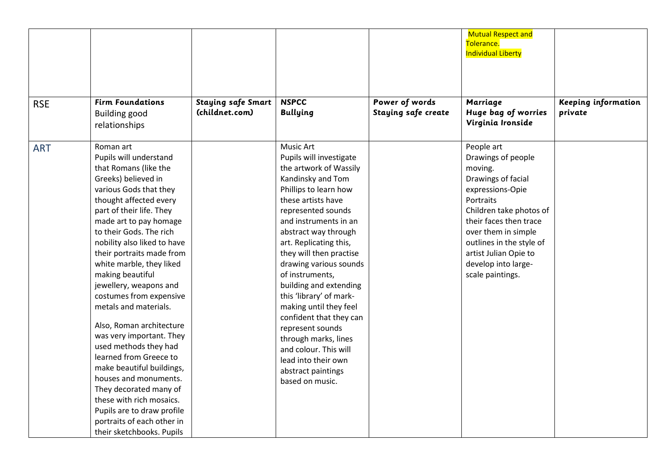|            |                                                                                                                                                                                                                                                                                                                                                                                                                                                                                                                                                                                                                                                                                                                                    |                                             |                                                                                                                                                                                                                                                                                                                                                                                                                                                                                                                                                                   |                                       | <b>Mutual Respect and</b><br>Tolerance.<br><b>Individual Liberty</b>                                                                                                                                                                                                           |                                       |
|------------|------------------------------------------------------------------------------------------------------------------------------------------------------------------------------------------------------------------------------------------------------------------------------------------------------------------------------------------------------------------------------------------------------------------------------------------------------------------------------------------------------------------------------------------------------------------------------------------------------------------------------------------------------------------------------------------------------------------------------------|---------------------------------------------|-------------------------------------------------------------------------------------------------------------------------------------------------------------------------------------------------------------------------------------------------------------------------------------------------------------------------------------------------------------------------------------------------------------------------------------------------------------------------------------------------------------------------------------------------------------------|---------------------------------------|--------------------------------------------------------------------------------------------------------------------------------------------------------------------------------------------------------------------------------------------------------------------------------|---------------------------------------|
| <b>RSE</b> | <b>Firm Foundations</b><br><b>Building good</b><br>relationships                                                                                                                                                                                                                                                                                                                                                                                                                                                                                                                                                                                                                                                                   | <b>Staying safe Smart</b><br>(childnet.com) | <b>NSPCC</b><br><b>Bullying</b>                                                                                                                                                                                                                                                                                                                                                                                                                                                                                                                                   | Power of words<br>Staying safe create | Marriage<br>Huge bag of worries<br>Virginia Ironside                                                                                                                                                                                                                           | <b>Keeping information</b><br>private |
| <b>ART</b> | Roman art<br>Pupils will understand<br>that Romans (like the<br>Greeks) believed in<br>various Gods that they<br>thought affected every<br>part of their life. They<br>made art to pay homage<br>to their Gods. The rich<br>nobility also liked to have<br>their portraits made from<br>white marble, they liked<br>making beautiful<br>jewellery, weapons and<br>costumes from expensive<br>metals and materials.<br>Also, Roman architecture<br>was very important. They<br>used methods they had<br>learned from Greece to<br>make beautiful buildings,<br>houses and monuments.<br>They decorated many of<br>these with rich mosaics.<br>Pupils are to draw profile<br>portraits of each other in<br>their sketchbooks. Pupils |                                             | <b>Music Art</b><br>Pupils will investigate<br>the artwork of Wassily<br>Kandinsky and Tom<br>Phillips to learn how<br>these artists have<br>represented sounds<br>and instruments in an<br>abstract way through<br>art. Replicating this,<br>they will then practise<br>drawing various sounds<br>of instruments,<br>building and extending<br>this 'library' of mark-<br>making until they feel<br>confident that they can<br>represent sounds<br>through marks, lines<br>and colour. This will<br>lead into their own<br>abstract paintings<br>based on music. |                                       | People art<br>Drawings of people<br>moving.<br>Drawings of facial<br>expressions-Opie<br>Portraits<br>Children take photos of<br>their faces then trace<br>over them in simple<br>outlines in the style of<br>artist Julian Opie to<br>develop into large-<br>scale paintings. |                                       |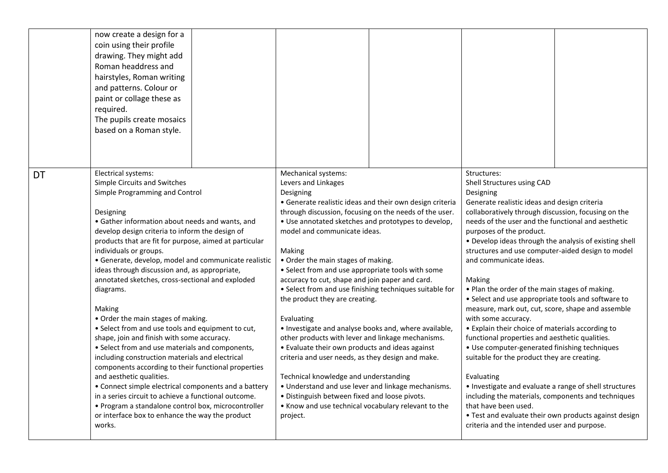|           | now create a design for a<br>coin using their profile<br>drawing. They might add<br>Roman headdress and<br>hairstyles, Roman writing<br>and patterns. Colour or<br>paint or collage these as<br>required.<br>The pupils create mosaics<br>based on a Roman style.                                                                                                                                                                                                                                                                                                                                                                                                                                                                                                                                                                                                                                                                                                                                                                                      |                                                                                                                                                                                                                                                                                                                                                                                                                                                                                                                                                                                                                                                                                                                                                                                                                                                                                                                                                                                  |                                                                                                                                                                                                                                                                                                                                                                                                                                                                                                                                                                                                                                                                                                                                                                                                                                                                                                                                                                                                                                                            |
|-----------|--------------------------------------------------------------------------------------------------------------------------------------------------------------------------------------------------------------------------------------------------------------------------------------------------------------------------------------------------------------------------------------------------------------------------------------------------------------------------------------------------------------------------------------------------------------------------------------------------------------------------------------------------------------------------------------------------------------------------------------------------------------------------------------------------------------------------------------------------------------------------------------------------------------------------------------------------------------------------------------------------------------------------------------------------------|----------------------------------------------------------------------------------------------------------------------------------------------------------------------------------------------------------------------------------------------------------------------------------------------------------------------------------------------------------------------------------------------------------------------------------------------------------------------------------------------------------------------------------------------------------------------------------------------------------------------------------------------------------------------------------------------------------------------------------------------------------------------------------------------------------------------------------------------------------------------------------------------------------------------------------------------------------------------------------|------------------------------------------------------------------------------------------------------------------------------------------------------------------------------------------------------------------------------------------------------------------------------------------------------------------------------------------------------------------------------------------------------------------------------------------------------------------------------------------------------------------------------------------------------------------------------------------------------------------------------------------------------------------------------------------------------------------------------------------------------------------------------------------------------------------------------------------------------------------------------------------------------------------------------------------------------------------------------------------------------------------------------------------------------------|
| <b>DT</b> | Electrical systems:<br>Simple Circuits and Switches<br>Simple Programming and Control<br>Designing<br>• Gather information about needs and wants, and<br>develop design criteria to inform the design of<br>products that are fit for purpose, aimed at particular<br>individuals or groups.<br>• Generate, develop, model and communicate realistic<br>ideas through discussion and, as appropriate,<br>annotated sketches, cross-sectional and exploded<br>diagrams.<br>Making<br>• Order the main stages of making.<br>• Select from and use tools and equipment to cut,<br>shape, join and finish with some accuracy.<br>• Select from and use materials and components,<br>including construction materials and electrical<br>components according to their functional properties<br>and aesthetic qualities.<br>• Connect simple electrical components and a battery<br>in a series circuit to achieve a functional outcome.<br>· Program a standalone control box, microcontroller<br>or interface box to enhance the way the product<br>works. | Mechanical systems:<br>Levers and Linkages<br>Designing<br>• Generate realistic ideas and their own design criteria<br>through discussion, focusing on the needs of the user.<br>. Use annotated sketches and prototypes to develop,<br>model and communicate ideas.<br>Making<br>• Order the main stages of making.<br>• Select from and use appropriate tools with some<br>accuracy to cut, shape and join paper and card.<br>• Select from and use finishing techniques suitable for<br>the product they are creating.<br>Evaluating<br>. Investigate and analyse books and, where available,<br>other products with lever and linkage mechanisms.<br>• Evaluate their own products and ideas against<br>criteria and user needs, as they design and make.<br>Technical knowledge and understanding<br>• Understand and use lever and linkage mechanisms.<br>· Distinguish between fixed and loose pivots.<br>• Know and use technical vocabulary relevant to the<br>project. | Structures:<br>Shell Structures using CAD<br>Designing<br>Generate realistic ideas and design criteria<br>collaboratively through discussion, focusing on the<br>needs of the user and the functional and aesthetic<br>purposes of the product.<br>. Develop ideas through the analysis of existing shell<br>structures and use computer-aided design to model<br>and communicate ideas.<br>Making<br>. Plan the order of the main stages of making.<br>• Select and use appropriate tools and software to<br>measure, mark out, cut, score, shape and assemble<br>with some accuracy.<br>• Explain their choice of materials according to<br>functional properties and aesthetic qualities.<br>• Use computer-generated finishing techniques<br>suitable for the product they are creating.<br>Evaluating<br>• Investigate and evaluate a range of shell structures<br>including the materials, components and techniques<br>that have been used.<br>• Test and evaluate their own products against design<br>criteria and the intended user and purpose. |